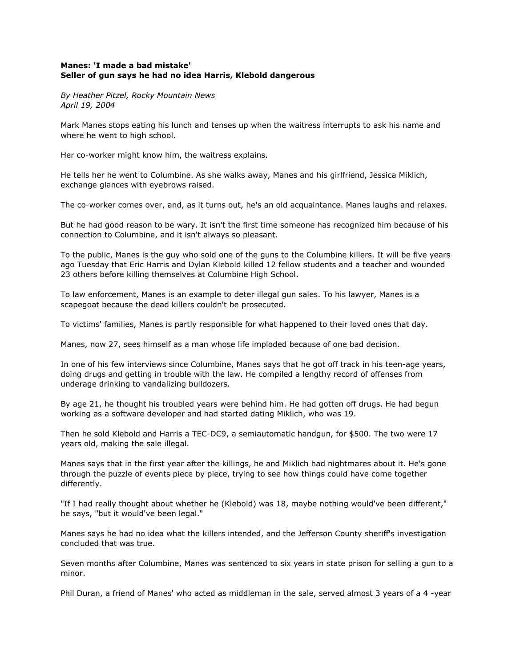## **Manes: 'I made a bad mistake' Seller of gun says he had no idea Harris, Klebold dangerous**

*By Heather Pitzel, Rocky Mountain News April 19, 2004*

Mark Manes stops eating his lunch and tenses up when the waitress interrupts to ask his name and where he went to high school.

Her co-worker might know him, the waitress explains.

He tells her he went to Columbine. As she walks away, Manes and his girlfriend, Jessica Miklich, exchange glances with eyebrows raised.

The co-worker comes over, and, as it turns out, he's an old acquaintance. Manes laughs and relaxes.

But he had good reason to be wary. It isn't the first time someone has recognized him because of his connection to Columbine, and it isn't always so pleasant.

To the public, Manes is the guy who sold one of the guns to the Columbine killers. It will be five years ago Tuesday that Eric Harris and Dylan Klebold killed 12 fellow students and a teacher and wounded 23 others before killing themselves at Columbine High School.

To law enforcement, Manes is an example to deter illegal gun sales. To his lawyer, Manes is a scapegoat because the dead killers couldn't be prosecuted.

To victims' families, Manes is partly responsible for what happened to their loved ones that day.

Manes, now 27, sees himself as a man whose life imploded because of one bad decision.

In one of his few interviews since Columbine, Manes says that he got off track in his teen-age years, doing drugs and getting in trouble with the law. He compiled a lengthy record of offenses from underage drinking to vandalizing bulldozers.

By age 21, he thought his troubled years were behind him. He had gotten off drugs. He had begun working as a software developer and had started dating Miklich, who was 19.

Then he sold Klebold and Harris a TEC-DC9, a semiautomatic handgun, for \$500. The two were 17 years old, making the sale illegal.

Manes says that in the first year after the killings, he and Miklich had nightmares about it. He's gone through the puzzle of events piece by piece, trying to see how things could have come together differently.

"If I had really thought about whether he (Klebold) was 18, maybe nothing would've been different," he says, "but it would've been legal."

Manes says he had no idea what the killers intended, and the Jefferson County sheriff's investigation concluded that was true.

Seven months after Columbine, Manes was sentenced to six years in state prison for selling a gun to a minor.

Phil Duran, a friend of Manes' who acted as middleman in the sale, served almost 3 years of a 4 -year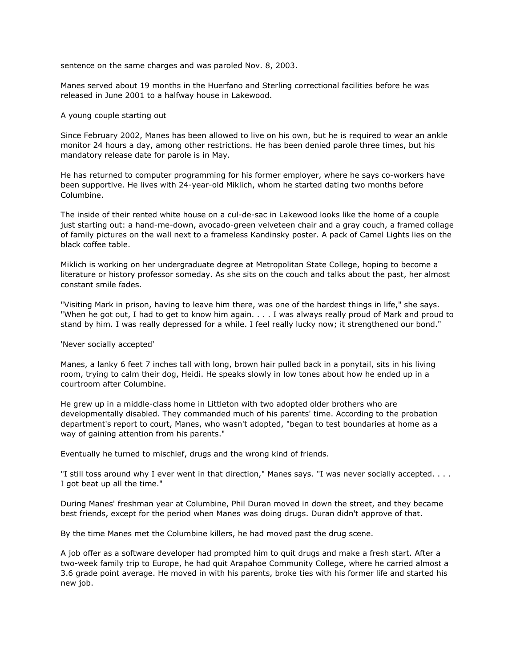sentence on the same charges and was paroled Nov. 8, 2003.

Manes served about 19 months in the Huerfano and Sterling correctional facilities before he was released in June 2001 to a halfway house in Lakewood.

## A young couple starting out

Since February 2002, Manes has been allowed to live on his own, but he is required to wear an ankle monitor 24 hours a day, among other restrictions. He has been denied parole three times, but his mandatory release date for parole is in May.

He has returned to computer programming for his former employer, where he says co-workers have been supportive. He lives with 24-year-old Miklich, whom he started dating two months before Columbine.

The inside of their rented white house on a cul-de-sac in Lakewood looks like the home of a couple just starting out: a hand-me-down, avocado-green velveteen chair and a gray couch, a framed collage of family pictures on the wall next to a frameless Kandinsky poster. A pack of Camel Lights lies on the black coffee table.

Miklich is working on her undergraduate degree at Metropolitan State College, hoping to become a literature or history professor someday. As she sits on the couch and talks about the past, her almost constant smile fades.

"Visiting Mark in prison, having to leave him there, was one of the hardest things in life," she says. "When he got out, I had to get to know him again. . . . I was always really proud of Mark and proud to stand by him. I was really depressed for a while. I feel really lucky now; it strengthened our bond."

'Never socially accepted'

Manes, a lanky 6 feet 7 inches tall with long, brown hair pulled back in a ponytail, sits in his living room, trying to calm their dog, Heidi. He speaks slowly in low tones about how he ended up in a courtroom after Columbine.

He grew up in a middle-class home in Littleton with two adopted older brothers who are developmentally disabled. They commanded much of his parents' time. According to the probation department's report to court, Manes, who wasn't adopted, "began to test boundaries at home as a way of gaining attention from his parents."

Eventually he turned to mischief, drugs and the wrong kind of friends.

"I still toss around why I ever went in that direction," Manes says. "I was never socially accepted. . . . I got beat up all the time."

During Manes' freshman year at Columbine, Phil Duran moved in down the street, and they became best friends, except for the period when Manes was doing drugs. Duran didn't approve of that.

By the time Manes met the Columbine killers, he had moved past the drug scene.

A job offer as a software developer had prompted him to quit drugs and make a fresh start. After a two-week family trip to Europe, he had quit Arapahoe Community College, where he carried almost a 3.6 grade point average. He moved in with his parents, broke ties with his former life and started his new job.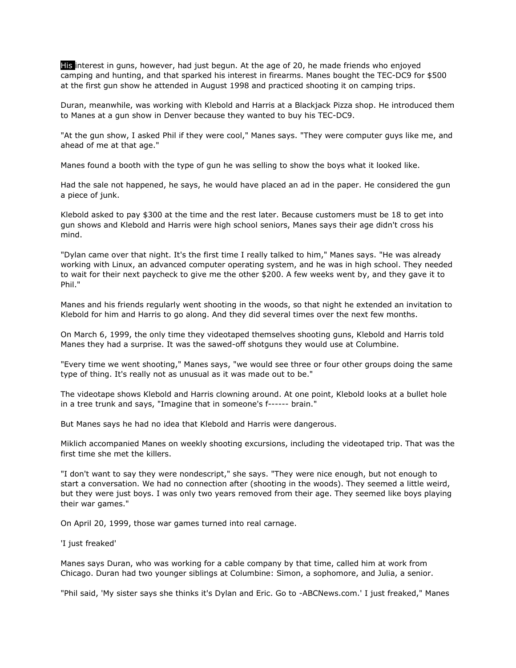His interest in guns, however, had just begun. At the age of 20, he made friends who enjoyed camping and hunting, and that sparked his interest in firearms. Manes bought the TEC-DC9 for \$500 at the first gun show he attended in August 1998 and practiced shooting it on camping trips.

Duran, meanwhile, was working with Klebold and Harris at a Blackjack Pizza shop. He introduced them to Manes at a gun show in Denver because they wanted to buy his TEC-DC9.

"At the gun show, I asked Phil if they were cool," Manes says. "They were computer guys like me, and ahead of me at that age."

Manes found a booth with the type of gun he was selling to show the boys what it looked like.

Had the sale not happened, he says, he would have placed an ad in the paper. He considered the gun a piece of junk.

Klebold asked to pay \$300 at the time and the rest later. Because customers must be 18 to get into gun shows and Klebold and Harris were high school seniors, Manes says their age didn't cross his mind.

"Dylan came over that night. It's the first time I really talked to him," Manes says. "He was already working with Linux, an advanced computer operating system, and he was in high school. They needed to wait for their next paycheck to give me the other \$200. A few weeks went by, and they gave it to Phil."

Manes and his friends regularly went shooting in the woods, so that night he extended an invitation to Klebold for him and Harris to go along. And they did several times over the next few months.

On March 6, 1999, the only time they videotaped themselves shooting guns, Klebold and Harris told Manes they had a surprise. It was the sawed-off shotguns they would use at Columbine.

"Every time we went shooting," Manes says, "we would see three or four other groups doing the same type of thing. It's really not as unusual as it was made out to be."

The videotape shows Klebold and Harris clowning around. At one point, Klebold looks at a bullet hole in a tree trunk and says, "Imagine that in someone's f------ brain."

But Manes says he had no idea that Klebold and Harris were dangerous.

Miklich accompanied Manes on weekly shooting excursions, including the videotaped trip. That was the first time she met the killers.

"I don't want to say they were nondescript," she says. "They were nice enough, but not enough to start a conversation. We had no connection after (shooting in the woods). They seemed a little weird, but they were just boys. I was only two years removed from their age. They seemed like boys playing their war games."

On April 20, 1999, those war games turned into real carnage.

## 'I just freaked'

Manes says Duran, who was working for a cable company by that time, called him at work from Chicago. Duran had two younger siblings at Columbine: Simon, a sophomore, and Julia, a senior.

"Phil said, 'My sister says she thinks it's Dylan and Eric. Go to -ABCNews.com.' I just freaked," Manes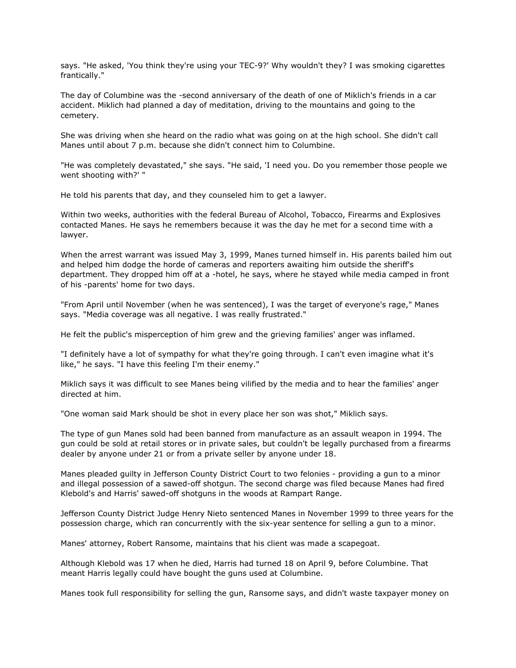says. "He asked, 'You think they're using your TEC-9?' Why wouldn't they? I was smoking cigarettes frantically."

The day of Columbine was the -second anniversary of the death of one of Miklich's friends in a car accident. Miklich had planned a day of meditation, driving to the mountains and going to the cemetery.

She was driving when she heard on the radio what was going on at the high school. She didn't call Manes until about 7 p.m. because she didn't connect him to Columbine.

"He was completely devastated," she says. "He said, 'I need you. Do you remember those people we went shooting with?' "

He told his parents that day, and they counseled him to get a lawyer.

Within two weeks, authorities with the federal Bureau of Alcohol, Tobacco, Firearms and Explosives contacted Manes. He says he remembers because it was the day he met for a second time with a lawyer.

When the arrest warrant was issued May 3, 1999, Manes turned himself in. His parents bailed him out and helped him dodge the horde of cameras and reporters awaiting him outside the sheriff's department. They dropped him off at a -hotel, he says, where he stayed while media camped in front of his -parents' home for two days.

"From April until November (when he was sentenced), I was the target of everyone's rage," Manes says. "Media coverage was all negative. I was really frustrated."

He felt the public's misperception of him grew and the grieving families' anger was inflamed.

"I definitely have a lot of sympathy for what they're going through. I can't even imagine what it's like," he says. "I have this feeling I'm their enemy."

Miklich says it was difficult to see Manes being vilified by the media and to hear the families' anger directed at him.

"One woman said Mark should be shot in every place her son was shot," Miklich says.

The type of gun Manes sold had been banned from manufacture as an assault weapon in 1994. The gun could be sold at retail stores or in private sales, but couldn't be legally purchased from a firearms dealer by anyone under 21 or from a private seller by anyone under 18.

Manes pleaded guilty in Jefferson County District Court to two felonies - providing a gun to a minor and illegal possession of a sawed-off shotgun. The second charge was filed because Manes had fired Klebold's and Harris' sawed-off shotguns in the woods at Rampart Range.

Jefferson County District Judge Henry Nieto sentenced Manes in November 1999 to three years for the possession charge, which ran concurrently with the six-year sentence for selling a gun to a minor.

Manes' attorney, Robert Ransome, maintains that his client was made a scapegoat.

Although Klebold was 17 when he died, Harris had turned 18 on April 9, before Columbine. That meant Harris legally could have bought the guns used at Columbine.

Manes took full responsibility for selling the gun, Ransome says, and didn't waste taxpayer money on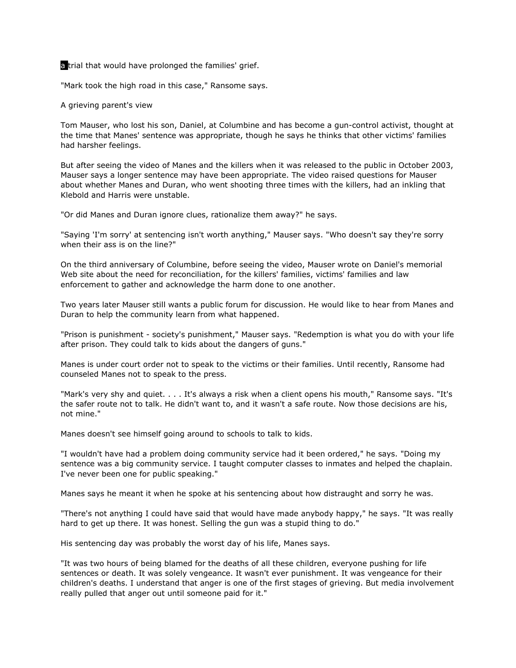a trial that would have prolonged the families' grief.

"Mark took the high road in this case," Ransome says.

A grieving parent's view

Tom Mauser, who lost his son, Daniel, at Columbine and has become a gun-control activist, thought at the time that Manes' sentence was appropriate, though he says he thinks that other victims' families had harsher feelings.

But after seeing the video of Manes and the killers when it was released to the public in October 2003, Mauser says a longer sentence may have been appropriate. The video raised questions for Mauser about whether Manes and Duran, who went shooting three times with the killers, had an inkling that Klebold and Harris were unstable.

"Or did Manes and Duran ignore clues, rationalize them away?" he says.

"Saying 'I'm sorry' at sentencing isn't worth anything," Mauser says. "Who doesn't say they're sorry when their ass is on the line?"

On the third anniversary of Columbine, before seeing the video, Mauser wrote on Daniel's memorial Web site about the need for reconciliation, for the killers' families, victims' families and law enforcement to gather and acknowledge the harm done to one another.

Two years later Mauser still wants a public forum for discussion. He would like to hear from Manes and Duran to help the community learn from what happened.

"Prison is punishment - society's punishment," Mauser says. "Redemption is what you do with your life after prison. They could talk to kids about the dangers of guns."

Manes is under court order not to speak to the victims or their families. Until recently, Ransome had counseled Manes not to speak to the press.

"Mark's very shy and quiet. . . . It's always a risk when a client opens his mouth," Ransome says. "It's the safer route not to talk. He didn't want to, and it wasn't a safe route. Now those decisions are his, not mine."

Manes doesn't see himself going around to schools to talk to kids.

"I wouldn't have had a problem doing community service had it been ordered," he says. "Doing my sentence was a big community service. I taught computer classes to inmates and helped the chaplain. I've never been one for public speaking."

Manes says he meant it when he spoke at his sentencing about how distraught and sorry he was.

"There's not anything I could have said that would have made anybody happy," he says. "It was really hard to get up there. It was honest. Selling the gun was a stupid thing to do."

His sentencing day was probably the worst day of his life, Manes says.

"It was two hours of being blamed for the deaths of all these children, everyone pushing for life sentences or death. It was solely vengeance. It wasn't ever punishment. It was vengeance for their children's deaths. I understand that anger is one of the first stages of grieving. But media involvement really pulled that anger out until someone paid for it."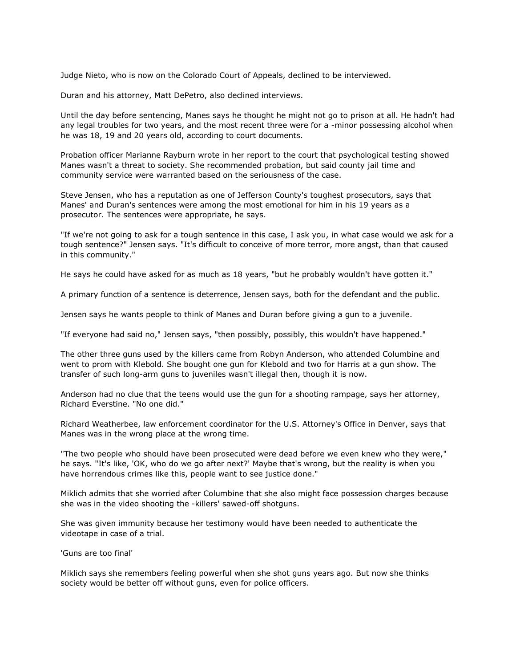Judge Nieto, who is now on the Colorado Court of Appeals, declined to be interviewed.

Duran and his attorney, Matt DePetro, also declined interviews.

Until the day before sentencing, Manes says he thought he might not go to prison at all. He hadn't had any legal troubles for two years, and the most recent three were for a -minor possessing alcohol when he was 18, 19 and 20 years old, according to court documents.

Probation officer Marianne Rayburn wrote in her report to the court that psychological testing showed Manes wasn't a threat to society. She recommended probation, but said county jail time and community service were warranted based on the seriousness of the case.

Steve Jensen, who has a reputation as one of Jefferson County's toughest prosecutors, says that Manes' and Duran's sentences were among the most emotional for him in his 19 years as a prosecutor. The sentences were appropriate, he says.

"If we're not going to ask for a tough sentence in this case, I ask you, in what case would we ask for a tough sentence?" Jensen says. "It's difficult to conceive of more terror, more angst, than that caused in this community."

He says he could have asked for as much as 18 years, "but he probably wouldn't have gotten it."

A primary function of a sentence is deterrence, Jensen says, both for the defendant and the public.

Jensen says he wants people to think of Manes and Duran before giving a gun to a juvenile.

"If everyone had said no," Jensen says, "then possibly, possibly, this wouldn't have happened."

The other three guns used by the killers came from Robyn Anderson, who attended Columbine and went to prom with Klebold. She bought one gun for Klebold and two for Harris at a gun show. The transfer of such long-arm guns to juveniles wasn't illegal then, though it is now.

Anderson had no clue that the teens would use the gun for a shooting rampage, says her attorney, Richard Everstine. "No one did."

Richard Weatherbee, law enforcement coordinator for the U.S. Attorney's Office in Denver, says that Manes was in the wrong place at the wrong time.

"The two people who should have been prosecuted were dead before we even knew who they were," he says. "It's like, 'OK, who do we go after next?' Maybe that's wrong, but the reality is when you have horrendous crimes like this, people want to see justice done."

Miklich admits that she worried after Columbine that she also might face possession charges because she was in the video shooting the -killers' sawed-off shotguns.

She was given immunity because her testimony would have been needed to authenticate the videotape in case of a trial.

'Guns are too final'

Miklich says she remembers feeling powerful when she shot guns years ago. But now she thinks society would be better off without guns, even for police officers.